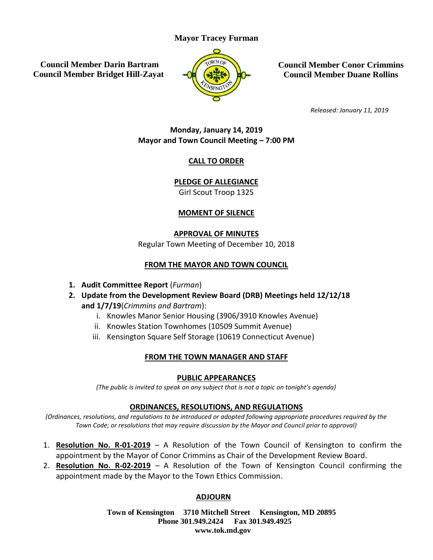# **Mayor Tracey Furman**

**Council Member Darin Bartram Council Member Bridget Hill-Zayat**



**Council Member Conor Crimmins Council Member Duane Rollins**

*Released: January 11, 2019*

# **Monday, January 14, 2019 Mayor and Town Council Meeting – 7:00 PM**

# **CALL TO ORDER**

**PLEDGE OF ALLEGIANCE**

Girl Scout Troop 1325

# **MOMENT OF SILENCE**

**APPROVAL OF MINUTES** 

Regular Town Meeting of December 10, 2018

# **FROM THE MAYOR AND TOWN COUNCIL**

- **1. Audit Committee Report** (*Furman*)
- **2. Update from the Development Review Board (DRB) Meetings held 12/12/18 and 1/7/19**(*Crimmins and Bartram*):
	- i. Knowles Manor Senior Housing (3906/3910 Knowles Avenue)
	- ii. Knowles Station Townhomes (10509 Summit Avenue)
	- iii. Kensington Square Self Storage (10619 Connecticut Avenue)

# **FROM THE TOWN MANAGER AND STAFF**

# **PUBLIC APPEARANCES**

*(The public is invited to speak on any subject that is not a topic on tonight's agenda)*

#### **ORDINANCES, RESOLUTIONS, AND REGULATIONS**

*(Ordinances, resolutions, and regulations to be introduced or adopted following appropriate procedures required by the Town Code; or resolutions that may require discussion by the Mayor and Council prior to approval)*

- 1. **Resolution No. R-01-2019** A Resolution of the Town Council of Kensington to confirm the appointment by the Mayor of Conor Crimmins as Chair of the Development Review Board.
- 2. **Resolution No. R-02-2019** A Resolution of the Town of Kensington Council confirming the appointment made by the Mayor to the Town Ethics Commission.

# **ADJOURN**

**Town of Kensington 3710 Mitchell Street Kensington, MD 20895 Phone 301.949.2424 Fax 301.949.4925 www.tok.md.gov**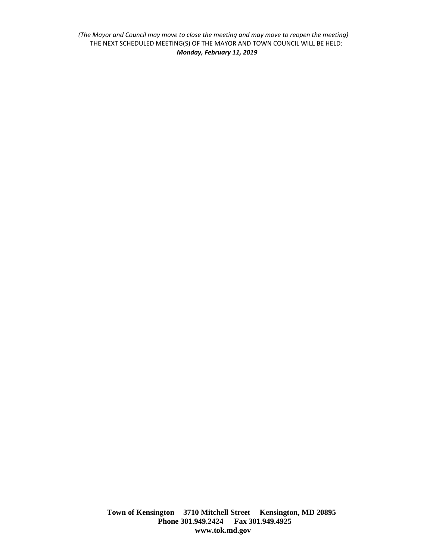*(The Mayor and Council may move to close the meeting and may move to reopen the meeting)* THE NEXT SCHEDULED MEETING(S) OF THE MAYOR AND TOWN COUNCIL WILL BE HELD: *Monday, February 11, 2019*

> **Town of Kensington 3710 Mitchell Street Kensington, MD 20895 Phone 301.949.2424 Fax 301.949.4925 www.tok.md.gov**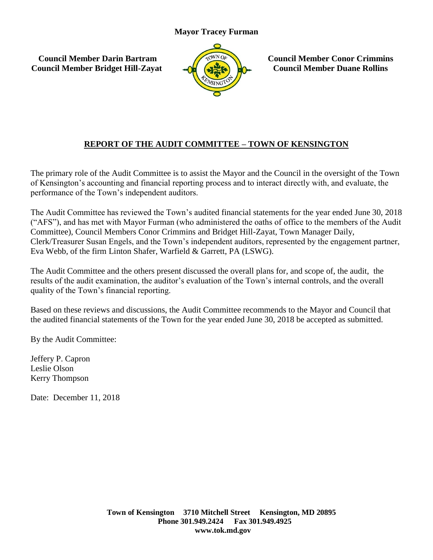**Council Member Darin Bartram Council Member Bridget Hill-Zayat**



**Council Member Conor Crimmins Council Member Duane Rollins**

# **REPORT OF THE AUDIT COMMITTEE – TOWN OF KENSINGTON**

The primary role of the Audit Committee is to assist the Mayor and the Council in the oversight of the Town of Kensington's accounting and financial reporting process and to interact directly with, and evaluate, the performance of the Town's independent auditors.

The Audit Committee has reviewed the Town's audited financial statements for the year ended June 30, 2018 ("AFS"), and has met with Mayor Furman (who administered the oaths of office to the members of the Audit Committee), Council Members Conor Crimmins and Bridget Hill-Zayat, Town Manager Daily, Clerk/Treasurer Susan Engels, and the Town's independent auditors, represented by the engagement partner, Eva Webb, of the firm Linton Shafer, Warfield & Garrett, PA (LSWG).

The Audit Committee and the others present discussed the overall plans for, and scope of, the audit, the results of the audit examination, the auditor's evaluation of the Town's internal controls, and the overall quality of the Town's financial reporting.

Based on these reviews and discussions, the Audit Committee recommends to the Mayor and Council that the audited financial statements of the Town for the year ended June 30, 2018 be accepted as submitted.

By the Audit Committee:

Jeffery P. Capron Leslie Olson Kerry Thompson

Date: December 11, 2018

**Town of Kensington 3710 Mitchell Street Kensington, MD 20895 Phone 301.949.2424 Fax 301.949.4925 www.tok.md.gov**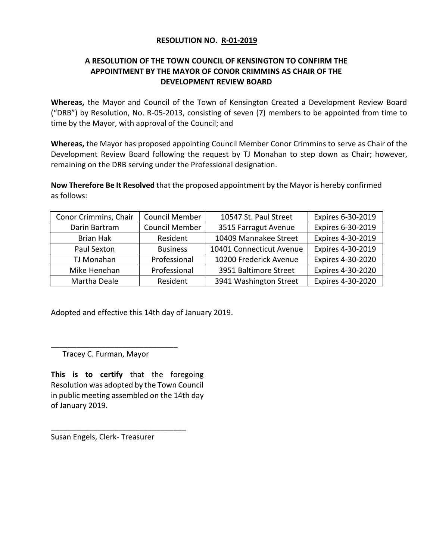#### **RESOLUTION NO. R-01-2019**

# **A RESOLUTION OF THE TOWN COUNCIL OF KENSINGTON TO CONFIRM THE APPOINTMENT BY THE MAYOR OF CONOR CRIMMINS AS CHAIR OF THE DEVELOPMENT REVIEW BOARD**

**Whereas,** the Mayor and Council of the Town of Kensington Created a Development Review Board ("DRB") by Resolution, No. R-05-2013, consisting of seven (7) members to be appointed from time to time by the Mayor, with approval of the Council; and

**Whereas,** the Mayor has proposed appointing Council Member Conor Crimmins to serve as Chair of the Development Review Board following the request by TJ Monahan to step down as Chair; however, remaining on the DRB serving under the Professional designation.

**Now Therefore Be It Resolved** that the proposed appointment by the Mayor is hereby confirmed as follows:

| Conor Crimmins, Chair | <b>Council Member</b> | 10547 St. Paul Street    | Expires 6-30-2019 |
|-----------------------|-----------------------|--------------------------|-------------------|
| Darin Bartram         | <b>Council Member</b> | 3515 Farragut Avenue     | Expires 6-30-2019 |
| <b>Brian Hak</b>      | Resident              | 10409 Mannakee Street    | Expires 4-30-2019 |
| Paul Sexton           | <b>Business</b>       | 10401 Connecticut Avenue | Expires 4-30-2019 |
| TJ Monahan            | Professional          | 10200 Frederick Avenue   | Expires 4-30-2020 |
| Mike Henehan          | Professional          | 3951 Baltimore Street    | Expires 4-30-2020 |
| Martha Deale          | Resident              | 3941 Washington Street   | Expires 4-30-2020 |

Adopted and effective this 14th day of January 2019.

Tracey C. Furman, Mayor

\_\_\_\_\_\_\_\_\_\_\_\_\_\_\_\_\_\_\_\_\_\_\_\_\_\_\_\_\_\_

**This is to certify** that the foregoing Resolution was adopted by the Town Council in public meeting assembled on the 14th day of January 2019.

Susan Engels, Clerk- Treasurer

\_\_\_\_\_\_\_\_\_\_\_\_\_\_\_\_\_\_\_\_\_\_\_\_\_\_\_\_\_\_\_\_